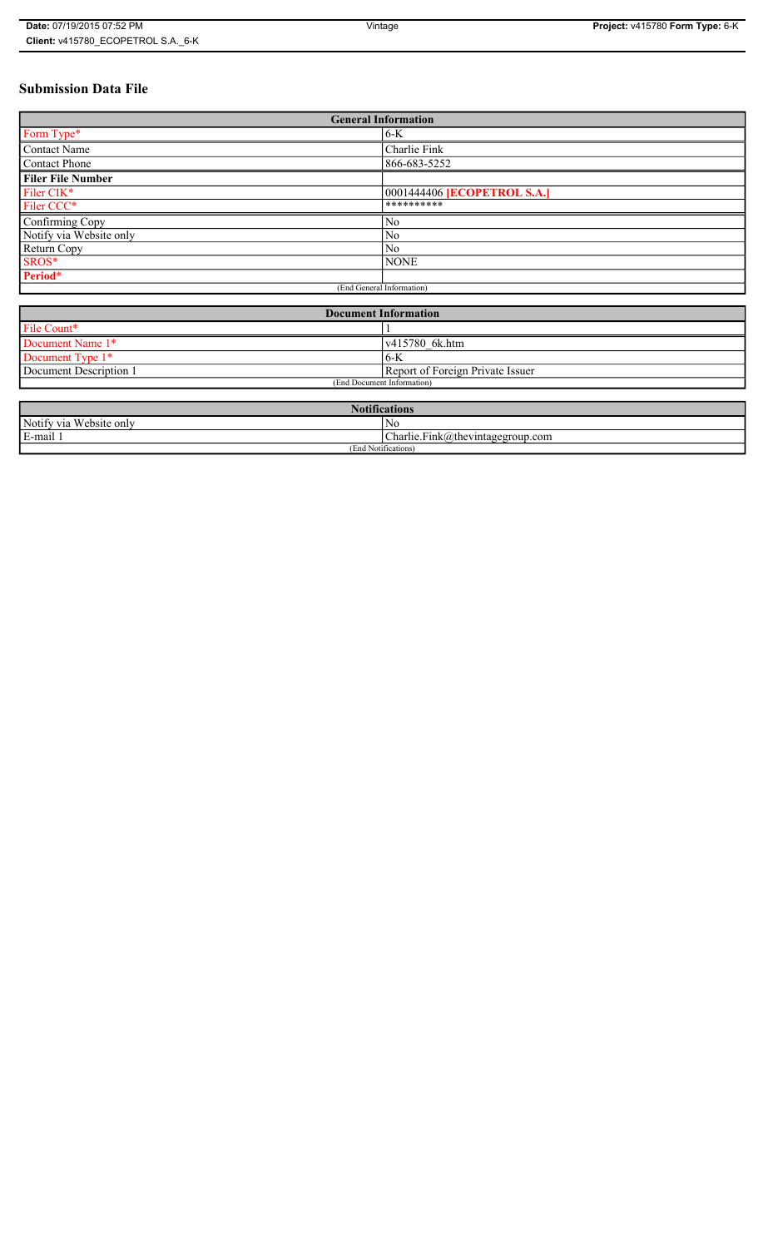# **Submission Data File**

| <b>General Information</b>  |                                    |
|-----------------------------|------------------------------------|
| Form Type*                  | $6-K$                              |
| Contact Name                | Charlie Fink                       |
| Contact Phone               | 866-683-5252                       |
| <b>Filer File Number</b>    |                                    |
| Filer CIK*                  | 0001444406 <b>[ECOPETROL S.A.]</b> |
| Filer CCC*                  | **********                         |
| Confirming Copy             | No                                 |
| Notify via Website only     | No                                 |
| Return Copy                 | No                                 |
| SROS*                       | <b>NONE</b>                        |
| Period*                     |                                    |
| (End General Information)   |                                    |
|                             |                                    |
| <b>Document Information</b> |                                    |
| File Count*                 |                                    |
| Document Name 1*            | v415780 6k.htm                     |
| Document Type 1*            | $6-K$                              |
| Document Description 1      | Report of Foreign Private Issuer   |
| (End Document Information)  |                                    |

| <b>Notifications</b>         |                                  |
|------------------------------|----------------------------------|
| Notify via<br>a Website only | No                               |
| E-mail 1                     | Charlie.Fink@thevintagegroup.com |
| (End Notifications           |                                  |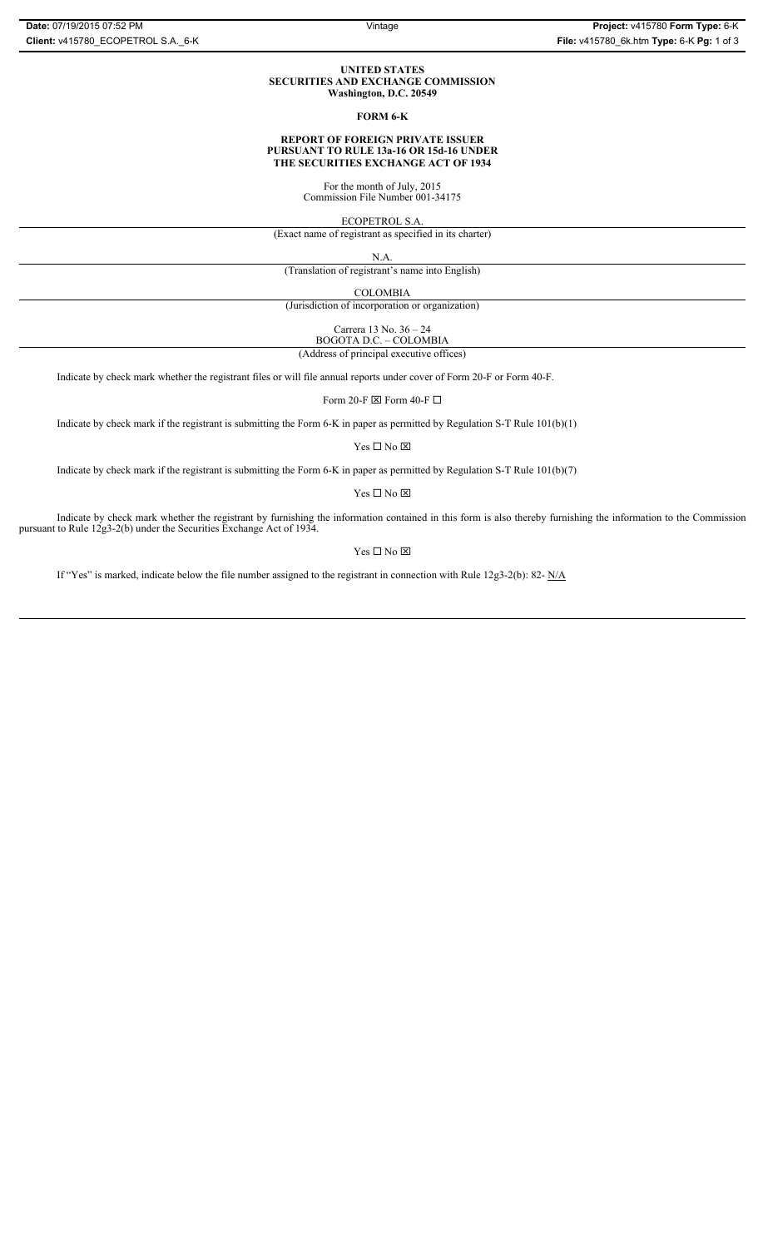#### **UNITED STATES SECURITIES AND EXCHANGE COMMISSION Washington, D.C. 20549**

### **FORM 6-K**

#### **REPORT OF FOREIGN PRIVATE ISSUER PURSUANT TO RULE 13a-16 OR 15d-16 UNDER THE SECURITIES EXCHANGE ACT OF 1934**

For the month of July, 2015 Commission File Number 001-34175

ECOPETROL S.A.

(Exact name of registrant as specified in its charter)

N.A.

(Translation of registrant's name into English)

COLOMBIA

(Jurisdiction of incorporation or organization)

Carrera 13 No. 36 – 24

BOGOTA D.C. – COLOMBIA

(Address of principal executive offices)

Indicate by check mark whether the registrant files or will file annual reports under cover of Form 20-F or Form 40-F.

Form 20-F  $\boxtimes$  Form 40-F  $\Box$ 

Indicate by check mark if the registrant is submitting the Form 6-K in paper as permitted by Regulation S-T Rule 101(b)(1)

Yes $\Box$  No  $\boxtimes$ 

Indicate by check mark if the registrant is submitting the Form 6-K in paper as permitted by Regulation S-T Rule 101(b)(7)

Yes  $\Box$  No  $\boxtimes$ 

Indicate by check mark whether the registrant by furnishing the information contained in this form is also thereby furnishing the information to the Commission pursuant to Rule 12g3-2(b) under the Securities Exchange Act of 1934.

 $Yes \Box No \boxtimes$ 

If "Yes" is marked, indicate below the file number assigned to the registrant in connection with Rule 12g3-2(b): 82- N/A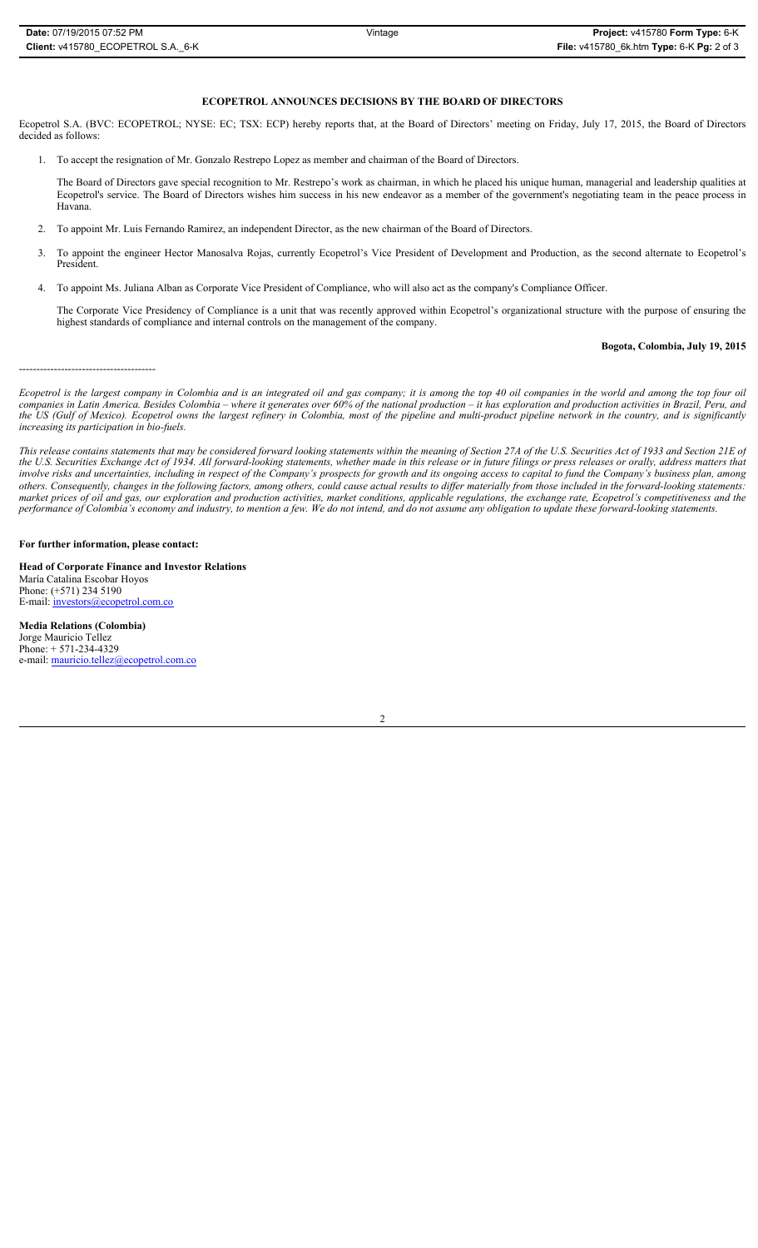# **ECOPETROL ANNOUNCES DECISIONS BY THE BOARD OF DIRECTORS**

Ecopetrol S.A. (BVC: ECOPETROL; NYSE: EC; TSX: ECP) hereby reports that, at the Board of Directors' meeting on Friday, July 17, 2015, the Board of Directors decided as follows:

1. To accept the resignation of Mr. Gonzalo Restrepo Lopez as member and chairman of the Board of Directors.

The Board of Directors gave special recognition to Mr. Restrepo's work as chairman, in which he placed his unique human, managerial and leadership qualities at Ecopetrol's service. The Board of Directors wishes him success in his new endeavor as a member of the government's negotiating team in the peace process in Havana.

- 2. To appoint Mr. Luis Fernando Ramirez, an independent Director, as the new chairman of the Board of Directors.
- 3. To appoint the engineer Hector Manosalva Rojas, currently Ecopetrol's Vice President of Development and Production, as the second alternate to Ecopetrol's President.
- 4. To appoint Ms. Juliana Alban as Corporate Vice President of Compliance, who will also act as the company's Compliance Officer.
	- The Corporate Vice Presidency of Compliance is a unit that was recently approved within Ecopetrol's organizational structure with the purpose of ensuring the highest standards of compliance and internal controls on the management of the company.

#### **Bogota, Colombia, July 19, 2015**

---------------------------------------

*Ecopetrol is the largest company in Colombia and is an integrated oil and gas company; it is among the top 40 oil companies in the world and among the top four oil companies in Latin America. Besides Colombia – where it generates over 60% of the national production – it has exploration and production activities in Brazil, Peru, and the US (Gulf of Mexico). Ecopetrol owns the largest refinery in Colombia, most of the pipeline and multi-product pipeline network in the country, and is significantly increasing its participation in bio-fuels.* 

*This release contains statements that may be considered forward looking statements within the meaning of Section 27A of the U.S. Securities Act of 1933 and Section 21E of the U.S. Securities Exchange Act of 1934. All forward-looking statements, whether made in this release or in future filings or press releases or orally, address matters that involve risks and uncertainties, including in respect of the Company's prospects for growth and its ongoing access to capital to fund the Company's business plan, among others. Consequently, changes in the following factors, among others, could cause actual results to differ materially from those included in the forward-looking statements: market prices of oil and gas, our exploration and production activities, market conditions, applicable regulations, the exchange rate, Ecopetrol's competitiveness and the performance of Colombia's economy and industry, to mention a few. We do not intend, and do not assume any obligation to update these forward-looking statements.*

# **For further information, please contact:**

**Head of Corporate Finance and Investor Relations** María Catalina Escobar Hoyos Phone: (+571) 234 5190 E-mail: investors@ecopetrol.com.co

**Media Relations (Colombia)**  Jorge Mauricio Tellez Phone: + 571-234-4329 e-mail: mauricio.tellez@ecopetrol.com.co

2